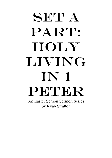# SET A PART: **HOLY** Living in 1 PETER An Easter Season Sermon Series

by Ryan Stratton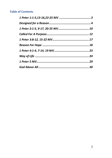#### **Table of Contents**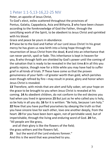## 1 Peter 1:1-5,13-16,22-25 NIV

Peter, an apostle of Jesus Christ,

To God's elect, exiles scattered throughout the provinces of Pontus, Galatia, Cappadocia, Asia and Bithynia, **2** who have been chosen according to the foreknowledge of God the Father, through the sanctifying work of the Spirit, to be obedient to Jesus Christ and sprinkled with his blood:

Grace and peace be yours in abundance.

**3** Praise be to the God and Father of our Lord Jesus Christ! In his great mercy he has given us new birth into a living hope through the resurrection of Jesus Christ from the dead, **4** and into an inheritance that can never perish, spoil or fade. This inheritance is kept in heaven for you, **5** who through faith are shielded by God's power until the coming of the salvation that is ready to be revealed in the last time.**6** In all this you greatly rejoice, though now for a little while you may have had to suffer grief in all kinds of trials. **7** These have come so that the proven genuineness of your faith—of greater worth than gold, which perishes even though refined by fire—may result in praise, glory and honor when Jesus Christ is revealed.

**13** Therefore, with minds that are alert and fully sober, set your hope on the grace to be brought to you when Jesus Christ is revealed at his coming. **14** As obedient children, do not conform to the evil desires you had when you lived in ignorance.**15** But just as he who called you is holy, so be holy in all you do; **16** for it is written: "Be holy, because I am holy." **22** Now that you have purified yourselves by obeying the truth so that you have sincere love for each other, love one another deeply, from the heart. **23** For you have been born again, not of perishable seed, but of imperishable, through the living and enduring word of God. **24** For, "All people are like grass,

 and all their glory is like the flowers of the field; the grass withers and the flowers fall,

**25** but the word of the Lord endures forever."

And this is the word that was preached to you.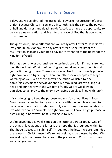## Designed for a Reason

8 days ago we celebrated the incredible, powerful resurrection of Jesus Christ. Because Christ is risen and alive, nothing is the same. The powers of hell and darkness and death are defeated. We have the opportunity to become a new creation and live into the grace of God that is poured out for all people.

The question is, "how different are you really after Easter?" How did you live your life on Monday, the day after Easter? Is the reality of the resurrection changing your life to pay more attention to the power of the Kingdom of God?

This has been a long quarantine/shelter-in-place so far. I'm not sure how long this will last. What is influencing your mind and your thoughts and your attitude right now? There is a show on Netflix that is really popular right now called "Tiger King". There are other shows people are binge watching as well. With these shows, the music we listen to, the books/articles/magazines/devotionals we may read, are we filling our head and our heart with the wisdom of God? Or are we allowing ourselves to fall prey to the enemy by having ourselves filled with junk?

It is challenging to keep the purpose and mission of our lives in focus. Even more challenging to try and socialize with the people we need to because of the situation right now. But, even though we are not able to live what we call a "normal" life right now, we still have a high purpose, a high calling, a holy way Christ is calling us to live.

We're beginning a 5 week series on the letter of 1 Peter today. One of the things I love about this letter is the hope that is grounded within it. That hope is Jesus Christ himself. Throughout the letter, we are reminded the reward is Christ himself. We're not seeking to be blessed by God. We are seeking to be blessed because of the presence of Christ that comes in and changes our life.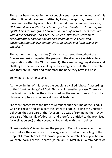There has been debate in the last couple centuries who the author of this letter is. It could have been written by Peter, the apostle, himself. It could have been written by one of his followers. *But as a commentator says, "Whether it was written by Peter or by a later Christian in his name, the epistle helps to strengthen Christians in times of distress; sets their lives within the history of God's activity, which moves from creation to consummation; holds up the atoning death of Jesus Christ; and encourages mutual love among Christian people and forbearance of enemies."*

The author is writing to exiles (Christians scattered throughout the Roman empire), comparing the people to the diaspora (Jewish exile and deportation within the Old Testament). They are undergoing distress and challenges. The author is seeking to encourage and help them remember who they are in Christ and remember the hope they have in Christ.

So, what is this letter saying?

At the beginning of this letter, the people are called "chosen" according to the "foreknowledge" of God. This is an interesting phrase. There is so much within this letter the author is asking the reader to recall from the Hebrew Scriptures, what we call the Old Testament.

"Chosen" comes from the time of Abraham and the time of the Exodus. God has chosen and set a part the Israelite people. Telling the Christian believers they are part of the "chosen" is a way of reminding them they are part of the family of Abraham and therefore entitled to the promises (as well as curses) of the covenant God made with the Israelites.

"Foreknowledge" is reminding the people of God's knowing about them even before they were born. In a way, we can think of the calling of the prophet Jeremiah, "before I formed you in the womb I knew you, before you were born, I set you apart;" (Jeremiah 1:5 NIV) This is a reminder God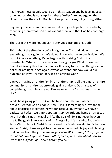has known these people would be in this situation and believe in Jesus. In other words, God is not surprised these "exiles" are undergoing the circumstances they're in. God is not surprised by anything today, either.

Beginning the letter in this manner helps to give hope to the reader by reminding them what God thinks about them and that God has not forgot them.

Then, as if this were not enough, Peter goes into praising God!

Think about the situation you're in right now. You and I do not know everything that is going on. We do not know what everyone is doing. We do not know everything. Peter begins with praising God in the uncertainty. Where do our minds and thoughts go? What do we find ourselves saying about other people? It is easy to focus on things we do not think are right, or go against what we want; but how would our outcome be if we, instead, focused on praising God?

Can you imagine an entire family, an entire church, all the time, an entire community, an entire nation/world giving praise to God instead of complaining that things are not like we would like? What does that look like?

While he is giving praise to God, he talks about the inheritance, in heaven, kept for God's people. Now THAT is something we love to talk about because it is something we can receive. But what if we have it backwards? Often we think about *getting* rewards and living on streets of gold, but this is not the goal of life. The goal of life is not even heaven itself. The goal of life is not a *what*. The goal of life is a *who.* That *who* is Jesus Christ himself. Christ is our reward. He is who we aim for. When we aim for Christ, them we get to experience the incredible joy and blessing that comes from the gospel message. *Dallas Willard says, "The gospel is less about how to get to Heaven after you die, and more about how to live in the Kingdom of Heaven before you die."*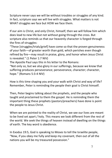Scripture never says we will be without troubles or struggles of any kind. In fact, scripture says we will live with struggles. What matters is not WHAT struggles we face but HOW we face them.

If our aim is Christ, and only Christ, himself, then we will follow him which does lead to new life but not without going through the cross. But scripture also reminds us that our heavenly character is forged through the fires of struggles:

"These [struggles/trials/grief] have come so that the proven genuineness of your faith—of greater worth than gold, which perishes even though refined by fire—may result in praise, glory, and honor when Jesus Christ is revealed." (1 Peter 1:7 NIV)

The Apostle Paul says this in his letter to the Romans:

"Not only so, but we also glory in our sufferings, because we know that suffering produces perseverance; perseverance, character; character, hope." (Romans 5:3-4 NIV)

How is this time shaping you and your walk with Christ and way of life? Remember, Peter is reminding the people their goal is Christ himself.

Then, Peter begins talking about the prophets, and the people who taught and proclaimed to them the gospel. He is reminding them the important thing these prophets (pastors/preachers) have done is point the people to Jesus Christ.

When we are pointed to the reality of Christ, we see our lives are meant to be lived set apart / holy. This means we look different from the rest of the world. We seek the things of heaven instead of dwelling on the things of earth. The key word is obedience.

In Exodus 19:5, God is speaking to Moses to tell the Israelite people, "Now, if you obey me fully and keep my covenant, then out of all the nations you will be my treasured possession."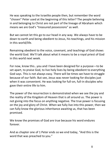He was speaking to the Israelite people then, but remember the word "chosen" Peter used at the beginning of this letter? The people believing in and belonging to Christ are not part of the lineage of Abraham which means we are God's "treasured possessions" as well.

But we cannot let this go to our head in any way. We always have to be down to earth and being obedient to Jesus, his teachings, and his mission in this world/life.

Remaining obedient to the voice, covenant, and teachings of God shows the world God. We'll talk about what it means to be a royal priest of God in this world next week.

For now, know this…you and I have been designed for a purpose—to be set apart, to praise God, to live holy lives by being obedient to everything God says. This is not always easy. There will be times we have to struggle because of our faith. But see, Jesus was never looking for disciples just when it was convenient. He was looking for full-on, full-in disciples who gave their entire life to him.

The power of the resurrection is demonstrated when we see the joy and the reality of the Kingdom of Heaven that is all around us. The power is not giving into the focus on anything negative. The true power is focusing on the joy and glory of Christ. When we fully live into this power, then we can fully know the glorious inheritance awaiting us, that has been promised.

We know the promises of God are true because his word endures forever.

And as chapter one of 1 Peter ends so we end today, "And this is the word that was preached to you."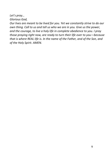*Let's pray… Glorious God,*

*Our lives are meant to be lived for you. Yet we constantly strive to do our own thing. Call to us and tell us who we are in you. Give us the power, and the courage, to live a holy life in complete obedience to you. I pray those praying right now, are ready to turn their life over to you—because that is where REAL life is. In the name of the Father, and of the Son, and of the Holy Spirit. AMEN.*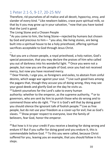### 1 Peter 2:1-5, 9-17, 20-25 NIV

Therefore, rid yourselves of all malice and all deceit, hypocrisy, envy, and slander of every kind. <sup>2</sup> Like newborn babies, crave pure spiritual milk, so that by it you may grow up in your salvation,  $3$  now that you have tasted that the Lord is good.

The Living Stone and a Chosen People

<sup>4</sup> As you come to him, the living Stone—rejected by humans but chosen by God and precious to him  $-5$  you also, like living stones, are being built into a spiritual house to be a holy priesthood, offering spiritual sacrifices acceptable to God through Jesus Christ.

…

…

 $9$  But you are a chosen people, a royal priesthood, a holy nation, God's special possession, that you may declare the praises of him who called you out of darkness into his wonderful light. <sup>10</sup> Once you were not a people, but now you are the people of God; once you had not received mercy, but now you have received mercy.

 $11$  Dear friends, I urge you, as foreigners and exiles, to abstain from sinful desires, which wage war against your soul. <sup>12</sup> Live such good lives among the pagans that, though they accuse you of doing wrong, they may see your good deeds and glorify God on the day he visits us.

<sup>13</sup> Submit yourselves for the Lord's sake to every human authority: whether to the emperor, as the supreme authority,  $^{14}$  or to governors, who are sent by him to punish those who do wrong and to commend those who do right. <sup>15</sup> For it is God's will that by doing good you should silence the ignorant talk of foolish people.<sup>16</sup> Live as free people, but do not use your freedom as a cover-up for evil; live as God's slaves. <sup>17</sup> Show proper respect to everyone, love the family of believers, fear God, honor the emperor.

 $20$  But how is it to your credit if you receive a beating for doing wrong and endure it? But if you suffer for doing good and you endure it, this is commendable before God. <sup>21</sup> To this you were called, because Christ suffered for you, leaving you an example, that you should follow in his steps.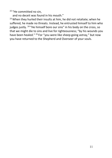<sup>22</sup> "He committed no sin,

and no deceit was found in his mouth."

 $23$  When they hurled their insults at him, he did not retaliate; when he suffered, he made no threats. Instead, he entrusted himself to him who judges justly. <sup>24</sup> "He himself bore our sins" in his body on the cross, so that we might die to sins and live for righteousness; "by his wounds you have been healed." <sup>25</sup> For "you were like sheep going astray," but now you have returned to the Shepherd and Overseer of your souls.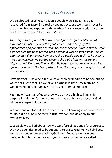### Called For A Purpose

We celebrated Jesus' resurrection a couple weeks ago. Have you recovered from Easter? I'd really hope not because we should never be the same after we experience the truth of Christ's resurrection. We now live in a "new normal" because of Christ!

*The story is told of a zoo that was noted for their great collection of different animals. One day the gorilla died, and to keep up the appearance of a full range of animals, the zookeeper hired a man to wear a gorilla suit and fill in for the dead animal. It was his first day on the job, and the man didn't know how to act like a gorilla very well. As he tried to move convincingly, he got too close to the wall of the enclosure and tripped and fell into the lion exhibit. He began to scream, convinced his life was over…until the lion spoke to him: "Be quiet, or you're going to get us both fired!"*

How many of us have felt like we have been pretending to be something we're not just to feel like we have a purpose in life? How many of us would make fools of ourselves just to get others to notice us?

Right now, I want all of us to know we do have a high calling, a high purpose in this life. Each one of us was made to honor and glorify God with every aspect of our life.

We continue our look at the letter of 1 Peter, knowing it was not written for us, but also knowing there is truth we can/should apply to our everyday lives.

Last week, we talked about how we were/are all designed for a purpose. We have been designed to be set apart, to praise God, to live holy lives, and to be obedient to everything God says. Because we have been designed in this manner, we now get to look at what we are called to.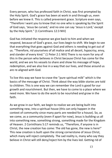Every person, who has professed faith in Christ, was first prompted by the Holy Spirit. God's grace has been at work in and through us, even before we knew it. This is called prevenient grace. Scripture even says, "Therefore I want you to know that no one who is speaking by the Spirit of God says, 'Jesus be cursed,' and no one can say 'Jesus is Lord,' except by the Holy Spirit." (1 Corinthians 12:3 NIV)

God has initiated the response we give back to him and when we respond, because of God's grace, our lives begin to shift. We begin to see that everything that goes against God and others is needing to get out of us. "Therefore, rid yourselves of all malice and all deceit, hypocrisy, envy, and slander of every kind." (1 Peter 2:1 NIV) There is no room for any of this in the person who believes in Christ because Christ has come for the world, and we are his vessels to share and show his message of hope, redemption, and we also live in a way that our lives, and those around us are re-aligned with God.

To live this way we have to crave the "pure spiritual milk" which is the basics of the message of Christ. Think about the way bible stories are told to children. This is one way we can remember the Lord is good for our growth and nourishment. But then, we have to come to a place where we need more. We have to do the work to be nourished and grow in the faith.

As we grow in our faith, we begin to realize we are being built into something new, into a spiritual house (this can only happen in the context of community since many parts are needed for a house). So, as we come, as a community (even if apart for now), Jesus is building us all into something new, something strong, something made for the Kingdom of Heaven. 2 Corinthians 5:17 reminds us, "Therefore, if anyone is in Christ, the new creation has come: The old has gone, the new is here!" This new creation is built upon the strong cornerstone of Jesus Christ, which many will reject completely. The sad reality is, many who say they believe in Christ will still deny/reject him by the lives led. Getting rid of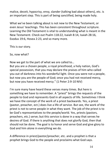malice, deceit, hypocrisy, envy, slander (talking bad about others), etc. is an important step. This is part of being sanctified, being made holy.

What we've been talking about is not new to the New Testament, or even Jesus' teachings. This has been consistent throughout scripture. Learning the Old Testament is vital to understanding what is meant in the New Testament. Check out Psalm 118:22, Isaiah 8:14, Isaiah 28:16, Exodus 19:6, Hosea 2:23, and so many more.

This is our story.

So, now what?

Now we get to the part of what we are called to… But you are a chosen people, a royal priesthood, a holy nation, God's special possession, that you may declare the praises of him who called you out of darkness into his wonderful light. Once you were not a people, but now you are the people of God; once you had not received mercy, but now you have received mercy." (1 Peter 2:9-10 NIV)

I'm sure many have heard these verses many times. But here is something we have to remember. A "priest" brings the requests of the people to God and represents God in all aspects of life. Sometimes I think we have the concept of the work of a priest backwards. Yes, a priest (pastor, preacher, ect.) does live a life of service. But see, the work of the priest is not to serve people in what they want. The job of the priest is to be God's representatives to the people/world. Yes, priests (pastors, preachers, etc.) serve; but this service is done in a way that serves he desires of God. If there is anything that does not glorify God, then that should not be done. The goal is to honor and serve God and give glory to God and him alone in everything we do.

A difference in priest/pastor/preacher, etc. and a prophet is that a prophet brings God to the people and proclaims what God says.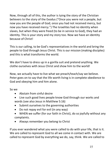Now, through all of this, the author is tying the story of the Christian believers to the story of the Exodus ("Once you were not a people, but now you are the people of God; once you had not received mercy, but now you have received mercy.") The Israelites had no identity when slaves, but when they were freed (to be in service to God), they had an identity. This is your story and my story too. Now we have an identity because of Christ!

This is our calling, to be God's representatives in the world and bring the people to God through Jesus Christ. This is our mission (making disciples) and this is what transforms the world.

We don't have to dress up in a gorilla suit and pretend anything. We clothe ourselves with Jesus Christ and show him to the world!

Now, we actually have to live what we preach/teach/say we believe. Peter goes on to say that the life worth living is in complete obedience to God and obeying him and him alone.

So we

- Abstain from sinful desire
- Live such good lives people know God through our works and words (see also Jesus in Matthew 5:16)
- Submit ourselves to the governing authorities
- Do not repay evil for evil (in any way)
- WHEN we suffer (for our faith in Christ), do so joyfully without any complaints.
- Always remember you belong to Christ

If you ever wandered what you were called to do with your life, that is it. We are called to represent God to all we come in contact with. We are called to represent God by everything we do, say, think. We are called to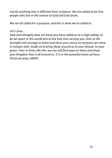not do anything that is different from scripture. We are called to be free people who live in the service to God and God alone.

We are all called for a purpose, and this is what we're called to.

Let's pray…

*Holy and Almighty God, we know you have called us to a high calling, to be set apart in this world and to live holy lives serving you. Give us the strength and courage to share and show your mercy to everyone we come in contact with. Guide us to bring those around us to your throne, to your grace. Even in times like this, we can still find ways to share and show your Kingdom that is all around us. It is in the powerful name of Jesus Christ we pray, AMEN.*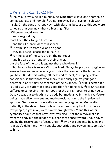#### 1 Peter 3:8-12, 15-22 NIV

**<sup>8</sup>** Finally, all of you, be like-minded, be sympathetic, love one another, be compassionate and humble. **<sup>9</sup>**Do not repay evil with evil or insult with insult. On the contrary, repay evil with blessing, because to this you were called so that you may inherit a blessing.**<sup>10</sup>** For,

"Whoever would love life

and see good days

must keep their tongue from evil

and their lips from deceitful speech.

**<sup>11</sup>** They must turn from evil and do good;

they must seek peace and pursue it.

**<sup>12</sup>** For the eyes of the Lord are on the righteous

and his ears are attentive to their prayer,

but the face of the Lord is against those who do evil."

**<sup>15</sup>** But in your hearts revere Christ as Lord. Always be prepared to give an answer to everyone who asks you to give the reason for the hope that you have. But do this with gentleness and respect, **<sup>16</sup>** keeping a clear conscience, so that those who speak maliciously against your good behavior in Christ may be ashamed of their slander. **<sup>17</sup>** For it is better, if it is God's will, to suffer for doing good than for doing evil. **<sup>18</sup>** For Christ also suffered once for sins, the righteous for the unrighteous, to bring you to God. He was put to death in the body but made alive in the Spirit. **<sup>19</sup>** After being made alive, he went and made proclamation to the imprisoned spirits—**<sup>20</sup>** to those who were disobedient long ago when God waited patiently in the days of Noah while the ark was being built. In it only a few people, eight in all, were saved through water,**<sup>21</sup>** and this water symbolizes baptism that now saves you also—not the removal of dirt from the body but the pledge of a clear conscience toward God. It saves you by the resurrection of Jesus Christ, **<sup>22</sup>** who has gone into heaven and is at God's right hand—with angels, authorities and powers in submission to him.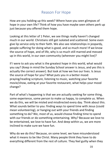### Reason For Hope

How are you holding up this week? Where have you seen glimpses of hope in your own life? Think of how you have maybe seen others perk up just because you offered them hope.

Looking at this letter of 1 Peter, we see things really haven't changed much in our world. Christians still get isolated and scattered. Some even give lip service only to their faith. We also see relationships in jeopardy, people suffering for doing what is good, and so much more! If we know the source of hope, and of life, why is so much still marred and messed up in this world, in our own community (wherever you might live)?

If I were to ask you what is the greatest hope in this world, what would you say? (Keep in mind the Sunday School answer is Jesus, and yes this is actually the correct answer). But look at how we live our lives. Is Jesus the source of hope for you? What puts you in a better mood: praying/reading scripture, listening to music, watching your favorite movie/show, eating at your favorite restaurant, what helps your mood change?

Part of what's happening is that we are actually seeking for some thing, some experience, some person to make us happy, to complete us. When we do this, we will be misled and misdirected every day. Think about this. What sounds better to you: finding ways to spend time with Jesus (could mean volunteering), or hanging out with your friends and finding something to do? We, most of us, would choose finding time to spend with our friends or do something entertaining. Why? Because we love to be entertained, we love to have fun. And deep within us, we are more inclined to make sure we have fun.

Why do we do this? Because, on some level, we have misunderstood what it means to be like Christ. Many people think they have to do everything different from the rest of culture. They feel guilty when they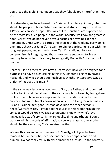don't read the Bible. I hear people say they "should pray more" than they do.

Unfortunately, we have turned the Christian life into a guilt fest, when we should be people of hope. When we read and study through the letter of 1 Peter, we can see a hope-filled way of life. Christians are supposed to be the most joy-filled people in the world, because we know the greatest hope: Christ. We do not have to avoid parties or anything like that. Remember, Christ went to parties (he even kept the wedding party going one time…check out John 2), he went to dinner parties, hung out with the roughest people, and so much more. Yet, Christ did not lose or compromise his integrity, and that's how we're supposed to live as well…by being able to give glory to and glorify God with ALL aspects of our life.

Chapter 3 is no different. We have already seen how we're designed for a purpose and have a high calling in this life. Chapter 3 begins by saying husbands and wives should submit/love each other *in the same way* as Christ. What does this mean?

In the same way Jesus was obedient to God, the Father, and submitted his life to him and him alone…In the same way Jesus loved by laying down his life…that is how we are supposed to be in relationship with one another. Too much breaks down when we end up living for what makes us, and us alone, feel good, instead of valuing the other person's needs/wants/desires. A great book resource is help work through this concept would be *The Five Love Languages*. I know my wife's love language is acts of service. Mine are quality time and (though I don't want to admit it) words of affirmation. How we relate to one another should be the same way Christ relates to others.

We see this driven home in verses 8-9: "Finally, all of you, be likeminded, be sympathetic, love one another, be compassionate and humble. Do not repay evil with evil or insult with insult. On the contrary,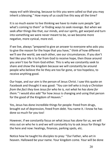repay evil with blessing, because to this you were called so that you may inherit a blessing." How many of us could live this way all the time?

It is so much easier to live thinking we have to make sure people "get what's coming to them" or finding ways to seek revenge. But when we seek after things like that, our minds, and our spirits, get warped and turn into something we were never meant to be, so we become more negative, more cynical, more evil.

If we live, always "prepared to give an answer to everyone who asks you to give the reason for the hope that you have," think of how different we'll see the world, see each other, see our circumstances. If you don't feel like your life is to far from God to receive hope, then those around you aren't too far from God either. This is why we constantly seek to share and show the kingdom because we will constantly be around people who believe the lie they are too far gone, or too hopeless, to receive anything good.

Our hope, and our aim is the person of Jesus Christ. I saw this quote on Facebook and thought it was good: *"You can tell who is truly a Christian from the fact they love Jesus for who he is, not what he has done for them."* I would also add "for how Jesus is changing and using that person for the good of the Kingdom of Heaven."

Yes, Jesus has done incredible things for people: freed from drugs, brought out of depression, freed from debt. You name it. I know he has done so much for you too!

However, if we constantly focus on what Jesus has *done* for us, we will miss out on who he is and we will constantly try to ask Jesus for things for the here and now: healings, finances, parking spots, etc.

Notice how he taught his disciples to pray: "Our Father, who art in heaven. Hallowed be your name. Your kingdom come. Your will be done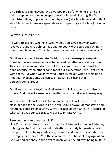on earth as it is in heaven." We give God praise for who he is, and this helps keep our identity in perspective also. Instead of acting like God is our wish-fulfiller, or prayer answer dispenser (let's face it we all do), think about how much time we spend devoted to praising God (Christ) for who he is.

So, who is Jesus Christ?

If I were to ask you who he is, what would you say? I know answers revolve around what Christ has done for you. What could you say, right now, about how good Christ has been to you (not just in a vague way)?

Our lives are meant to imitate Christ. How we view/express/explain Christ is how we desire our lives to be lived (whether we realize it or not). This is why it is so important to not focus so much on what Christ has done because when others don't meet our expectations, we'll get upset with them. But when we know who Christ is, maybe when others don't meet our expectations, we can see how Christ is using that person/people groups.

Our lives are meant to glorify God instead of living in/for the praise of others. And this will cause unrest/suffering to the believer in many ways.

Yes, people will mock your faith and mine. People will say you and I are close-minded for believing in Christ. We should always demonstrate and exemplify compassion always. Why? Because of who Christ is. Because of what Christ has done. Because we are to imitate Christ.

Take another look at verses 18-22:

"For Christ also suffered once for sins, the righteous for the unrighteous, to bring you to God. He was put to death in the body but made alive in the Spirit. **<sup>19</sup>** After being made alive, he went and made proclamation to the imprisoned spirits—**<sup>20</sup>** to those who were disobedient long ago when God waited patiently in the days of Noah while the ark was being built. In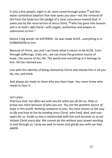it only a few people, eight in all, were saved through water,**<sup>21</sup>** and this water symbolizes baptism that now saves you also—not the removal of dirt from the body but the pledge of a clear conscience toward God. It saves you by the resurrection of Jesus Christ, **<sup>22</sup>** who has gone into heaven and is at God's right hand—with angels, authorities and powers in submission to him."

Notice 3 big words: he SUFFERED…he was made ALIVE…everything is in SUBMISSION to him

Because of Christ, you and I can know what it means to be ALIVE. Even through sufferings, trials, etc., we can know the greatest source of hope…the source of ALL life. The world and everything in it belongs to him. He has claimed you.

Live with this identity of being claimed by Christ and imitate him in all you do, say, and think.

And always be ready to share why you have hope. You never know who needs to hear it.

#### *Let's pray…*

*Gracious God, too often we seek you for what you do for us. Help us praise you more because of who you are. You are the greatest source of hope in this world. Nothing compares to you. You have shown us the way to life and how to live by sending Jesus Christ, who lived, died, and rose again for us. Guide us into a relationship with him and recreate us so we imitate Christ every day. We cannot do this without your power working in and through us. I pray we seek to honor and glorify you with our lives. AMEN.*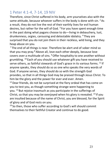#### 1 Peter 4:1-4, 7-14, 19 NIV

Therefore, since Christ suffered in his body, arm yourselves also with the same attitude, because whoever suffers in the body is done with sin.  $2$  As a result, they do not live the rest of their earthly lives for evil human desires, but rather for the will of God.  $3$  For you have spent enough time in the past doing what pagans choose to do—living in debauchery, lust, drunkenness, orgies, carousing and detestable idolatry. <sup>4</sup> They are surprised that you do not join them in their reckless, wild living, and they heap abuse on you.

 $7$  The end of all things is near. Therefore be alert and of sober mind so that you may pray.<sup>8</sup> Above all, love each other deeply, because love covers over a multitude of sins. <sup>9</sup> Offer hospitality to one another without grumbling. <sup>10</sup> Each of you should use whatever gift you have received to serve others, as faithful stewards of God's grace in its various forms. <sup>11</sup> If anyone speaks, they should do so as one who speaks the very words of God. If anyone serves, they should do so with the strength God provides, so that in all things God may be praised through Jesus Christ. To him be the glory and the power for ever and ever. Amen.

 $12$  Dear friends, do not be surprised at the fiery ordeal that has come on you to test you, as though something strange were happening to you. <sup>13</sup> But rejoice inasmuch as you participate in the sufferings of Christ, so that you may be overjoyed when his glory is revealed.  $^{14}$  If you are insulted because of the name of Christ, you are blessed, for the Spirit of glory and of God rests on you.

 $19$  So then, those who suffer according to God's will should commit themselves to their faithful Creator and continue to do good.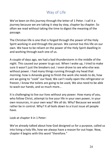# Way of Life

We've been on this journey through the letter of 1 Peter. I call it a journey because we are taking it step by step, chapter by chapter. So often we read without taking the time to digest the meaning of the passage.

The Christian life is one that is forged through the power of the Holy Spirit working in and through the person. We cannot live this life on our own. We have to be reliant on the power of the Holy Spirit dwelling in and working through each one of us.

A couple of days ago, we had a bad thunderstorm in the middle of the night. This caused our power to go out. When I woke up, I tried to make sure it wasn't just the breakers out. I even drove to see who else was without power. I had many things running through my head that morning: how is Amanda going to finish the work she needs to do, how are we going to "cook" our food, We can't really open the refrigerator or freezer, I know the toilets are going to be used, We also need to be able to wash our hands, and so much more…

It is challenging to live our lives without any power. How many of you, who follow Christ, attempt to live your life in your own power, in your own resources, in your own way? We all do. Why? Because we would rather be in control. Why? It all boils down to a trust issue all people have.

Look at chapter 4 in 1 Peter:

We've already talked about how God designed us for a purpose, called us into living a holy life, how we always have a reason for out hope. Now, chapter 4 begins with this word "therefore."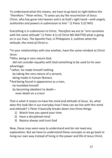To understand what this means, we have to go back to right before the "therefore." Peter writes, "It saves you by the resurrection of Jesus Christ, who has gone into heaven and is at God's right hand—*with angels, authorities and powers in submission to him.*" (1 Peter 3:22 NIV)

Everything is in submission to Christ. *Therefore* we are to "arm ourselves with the same attitude" (1 Peter 4:1) of Christ NO MATTER what is going on in our lives. The Apostle Paul, in Philippians 2, outlines what the *attitude*, the *mind of Christ* is:

**<sup>5</sup>** In your relationships with one another, have the same mindset as Christ Jesus:

**<sup>6</sup>**Who, being in very nature God,

 did not consider equality with God something to be used to his own advantage;

**<sup>7</sup>** rather, he made himself nothing

by taking the very nature of a servant,

being made in human likeness.

**<sup>8</sup>** And being found in appearance as a man,

he humbled himself

by becoming obedient to death—

even death on a cross!

That is what it means to have the *mind* and *attitude* of Jesus. So, what does this look like in our everyday lives? How can we live with this *mind* and *attitude*? 1 Peter 4 basically breaks down into three things:

- 1) Watch how you spend your time
- 2) Have a disciplined mind
- 3) Rejoice always and trust God

Now, these may seem easy to understand and do not need any explanation. But we have to understand these concepts or we go back to living our own way instead of living in the power and life of Jesus Christ.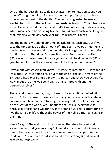One of the hardest things to do is pay attention to how you spend you time. NT Wright, Anglican Bishop, author, and professor, talks about a time when he went to the dentist. The dentist suggested he use an electric tooth brush that will help him brush his teeth for 2 minutes twice a day. He says he did the math and that's 4 minutes a day, 7 days a week, which means he'd be brushing his teeth for 24 hours each year! Imagine that, taking a whole day each year JUST to brush your teeth.

See the point is, we spend our time on little things each day. But if we take the time to add up the amount of time spent a year, a lifetime, it is much more than we would have thought. It's like getting a subscription for \$8 a month. That doesn't seem like much. But then you realize that's \$96 a year. Is there something else you or I could be doing with \$96 a year to help further the advancement of the Kingdom of Heaven?

How about with gossip (you know "just keeping informed")? How about a little drink? A little time to chill out at the end of the day in front of the TV? Just a little more time spent with a person you know you shouldn't? How about the time we spend angry or frustrated with another person/ourselves?

These, and so much more, may not seem like much time, but add it up and you'd be surprised. These are the things *unbelievers* participate in. Followers of Christ are held to a higher calling and way of life. We are to be the light of the world. Yet, Christians act just like everyone else because it's easier and we don't want to stand out. This is attempting to live the Christian life without the power of the Holy Spirit. It all begins in our minds.

Verse 7 says, "The end of all things is near. Therefore be alert and of sober mind so that you may pray." If we take the time to discipline our minds, then we can see how our lives would surely change from the inside out! 2 Corinthians 10:4 says to take every *thought* and make it captive to Jesus Christ.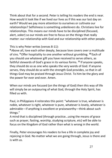Think about that for a second. Peter is telling his readers the end is near. How would it look like if we lived our lives as if this was our last day on earth? Would we pay more attention to ourselves or cultivate our relationships? Selfishness is something *unbelievers* do. Christians live for relationships. This means our minds have to be disciplined (focused, alert, *sober*) so our minds are free to focus on the things that really matter: our relationship with God and our relationship with other people.

This is why Peter writes (verses 8-11):

**<sup>8</sup>** Above all, love each other deeply, because love covers over a multitude of sins. **<sup>9</sup>**Offer hospitality to one another without grumbling. **<sup>10</sup>** Each of you should use whatever gift you have received to serve others, as faithful stewards of God's grace in its various forms. **<sup>11</sup>** If anyone speaks, they should do so as one who speaks the very words of God. If anyone serves, they should do so with the strength God provides, so that in all things God may be praised through Jesus Christ. To him be the glory and the power for ever and ever. Amen.

When our minds are focused (on the things of God) then this way of life will simply be an outpouring of what God, through the Holy Spirit, has filled us with.

Paul, in Philippians 4 reiterates this point: "whatever is true, whatever is noble, whatever is right, whatever is pure, whatever is lovely, whatever is admirable—if anything is excellent or praiseworthy—think about such things."

A mind that is disciplined (through practice…using the means of grace such as prayer, fasting, worship, studying scripture, etc) will be able to focus on the Kingdom of God rather than what is wrong in the world.

Finally, Peter encourages his readers to live a life in complete joy and rejoicing in God. No matter what we are going through, Jesus is there and is with us.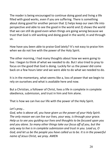The reader is being encouraged to continue doing good and living a life filled with good works, even if you are suffering. There is something about doing good for another person that 1) helps keep our own life into perspective and able to see the good in the world and 2) shows the world that we can still do good even when things are going wrong because we trust that God is still working and doing good in the world, in and through us.

How have you been able to praise God lately? It's not easy to praise him when we do not live with the power of the Holy Spirit.

The other morning, I had many thoughts about how we were going to live. I began to think of what we needed to do. But I also tried to pray to focus on the good that God is doing. Luckily for us the power did come back on a few hours later and we were able to do what we needed to do.

It is in the momentary, what seems like a, loss of power that we begin to rely on ourselves and what is available here and now.

But a Christian, a follower of Christ, lives a life in complete in complete obedience, submission, and trust in him and him alone.

That is how we can live our life with the power of the Holy Spirit.

#### *Let's pray…*

*God, who is above all, you have given us the power of your Holy Spirit. The only reason we can live our lives, your way, is through your grace. Help us to see you guiding our lives and thoughts to be focused upon you and you alone. So many other things take our focus off of you, but the only way to live is in complete submission and trust in you. Lead us, O God, and let us be the people you have called us to be. It is in the powerful name of Jesus Christ, we pray. AMEN*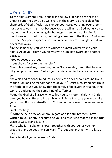## 1 Peter 5 NIV

To the elders among you, I appeal as a fellow elder and a witness of Christ's sufferings who also will share in the glory to be revealed:  $2$  Be shepherds of God's flock that is under your care, watching over them not because you must, but because you are willing, as God wants you to be; not pursuing dishonest gain, but eager to serve;  $3$  not lording it over those entrusted to you, but being examples to the flock. <sup>4</sup> And when the Chief Shepherd appears, you will receive the crown of glory that will never fade away.

<sup>5</sup> In the same way, you who are younger, submit yourselves to your elders. All of you, clothe yourselves with humility toward one another, because,

"God opposes the proud

but shows favor to the humble."

 $6$  Humble yourselves, therefore, under God's mighty hand, that he may lift you up in due time.<sup>7</sup> Cast all your anxiety on him because he cares for you.

<sup>8</sup> Be alert and of sober mind. Your enemy the devil prowls around like a roaring lion looking for someone to devour.<sup>9</sup> Resist him, standing firm in the faith, because you know that the family of believers throughout the world is undergoing the same kind of sufferings.

 $10$  And the God of all grace, who called you to his eternal glory in Christ, after you have suffered a little while, will himself restore you and make you strong, firm and steadfast.  $11$  To him be the power for ever and ever. Amen.

Final Greetings

 $12$  With the help of Silas, whom I regard as a faithful brother, I have written to you briefly, encouraging you and testifying that this is the true grace of God. Stand fast in it.

 $13$  She who is in Babylon, chosen together with you, sends you her greetings, and so does my son Mark. 14Greet one another with a kiss of love.

Peace to all of you who are in Christ.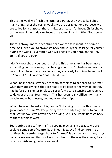# God Above All

This is the week we finish the letter of 1 Peter. We have talked about many things over the past 5 weeks: we are designed for a purpose, we are called for a purpose, there is always a reason for hope, Christ shows us the way of life, today we focus on leadership and putting God above all.

There is always more in scripture than we can talk about in a sermon time. So I invite you to always go back and study the passage for yourself during the week. I guarantee God will speak to you, through the Holy Spirit, if you are open.

I don't know about you, but I am tired. This time apart has been more exhausting, in many ways, than having a "normal" schedule and normal way of life. I hear many people say they are ready for things to get back to "normal." But "normal" has to be defined.

What I hear people say they are ready for things to get back to "normal", what they are saying is they are ready to go back to the way of life they had before this shelter-in-place / social/physical distancing we have had to do over the past few months. This has been really difficult for many people, many businesses, and many relationships.

What I have not heard a lot is, how is God asking us to use this time to grow closer to him? We keep saying we are ready to get back to normal that I get nervous we haven't been asking God is he wants us to go back to the way things were.

See, getting back to "normal" is a coping mechanism because we are seeking some sort of control back in our lives. We find comfort in our routines. But seeking to get back to "normal" is also selfish in many ways because we are wanting *our* lives to go back to the way they were, free to do as *we* wish and go where *we* want.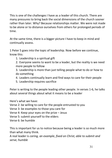This is one of the challenges I have as a leader of this church. There are many pressures to bring back the social dimensions of the church sooner rather than later. Why? Because relationships matter. We were not made to be alone or to distance ourselves from others for prolonged periods of time.

At the same time, there is a bigger picture I have to keep in mind and continually assess.

1 Peter 5 goes into the topic of leadership. Now before we continue, know this:

1. Leadership is a spiritual gift

2. Everyone seems to want to be a leader, but the reality is we need more people to follow

3. Leadership is more than just telling people what to do or how to do something

- 4. Leaders continually learn and find ways to care for their people
- 5. Leadership requires sacrifice

Peter is writing to the people leading other people. In verses 1-6, he talks about several things about what it means to be a leader

Here's what we have:

Verse 2: be willing to care for the people entrusted to you

Verse 3: be examples to those you care for

Verse 4: Keep your eyes on the prize – Jesus

Verse 5: submit yourself to the elders

Verse 6: be humble

This is important for us to notice because being a leader is so much more than what many think.

A real leader is *caring, an example, fixed on Christ, able to submit and serve, humble*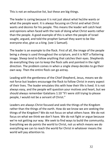This is not an exhaustive list, but these are big things.

The leader is caring because it is not just about what he/she wants or what the people want. It is always focusing on Christ and what Christ wants and desires for his people. This means the leader will catch heat and opinions when faced with the task of doing what Christ wants rather than the people. A good example of this is when the people of Israel sought, argued, and told the prophet Samuel they want to be like everyone else, give us a king. (see 1 Samuel).

The leader is an example to the flock. First of all, the image of the people being a sheep is used throughout the scripture, and it is NOT a flattering image. Sheep tend to follow anything that catches their eyes. Shepherds do everything they can to keep the flock safe and pointed in the right direction. The problem comes in when a single sheep decides to go their own way. Then the entire flock can go astray.

Leading with the gentleness of the Chief Shepherd, Jesus, means we do not force but leaders encourage the flock to follow Christ in every aspect of their lives. The leader emulates this with how their life is lived. It is not always easy, and the people will question your motives and heart, but we should always remember Galatians 1:10 "If I were still trying to please people, I would not be a servant of Christ."

Leaders are always Christ focused and seek the things of the Kingdom rather than the things of the earth. How do we know we are seeking the things of the Kingdom? We do not focus on what others have. We do not focus on what we think we don't have. We do not fight or argue because we're not getting our way. We seek to find ways to build the community. Everything we do points the world to Christ, not us which means we do everything we can to reach the world for Christ in whatever means the world will pay attention to.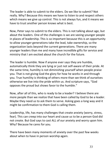The leader is able to submit to the elders. Do we like to submit? Not really. Why? Because this means we have to listen to and respect others which means we give up control. This is not always fun, and it means we have to trust another person knows what is best.

Now, Peter says to submit to the elders. This is not talking about age, but about the leaders. One of the challenges is we are seeing younger people in places of leadership. This is so important because this is an opportunity to allow younger generations take the lead, take ownership, so the organization lasts beyond the current generations. There are many younger leaders than me and many have incredible gifts for service and ministry that I am excited about the church for the future.

The leader is humble. Now if anyone ever says they are humble, automatically think they are lying or just not self-aware of their pride. At the same time, humility is not diminishing yourself when people praise you. That is not giving God the glory for how he works in and through you. True humility is thinking of others more than we think of ourselves otherwise we live into the pride within us. And scripture says, "God opposes the proud but shows favor to the humble."

Now, after all of this, who is ready to be a leader? I believe there are more people than we realize that have been called by God to be a leader. Maybe they need us to ask them to serve. Asking goes a long way and it might be confirmation to them God is calling them.

Leadership, life, has many challenges that create anxiety (worry, stress, fear). This can creep into our heart and cause us to be a person God did not create. But God says to cast ALL of our anxiety and worry upon him. Why? Because he cares for you.

There have been many moments of anxiety over the past few weeks about when to have in person worship again.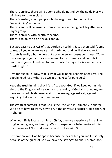There is anxiety there will be some who do not follow the guidelines we will have to have in place.

There is anxiety about people who have gotten into the habit of "worshipping" at home.

There is and will be anxiety, from some, about being back together in a larger group.

There is anxiety with health concerns.

There is so much to be anxious about.

But God says to put ALL of that burden on to him. Jesus even said "Come to me, all you who are weary and burdened, and I will give you rest." Anxiety is really a burden we put upon ourselves. Jesus continues, "Take my yoke upon you and learn from me, for I am gentle and humble in heart, and you will find rest for your souls. For my yoke is easy and my burden light."

Rest for our souls. Now that is what we all need. Leaders need rest. The people need rest. Where do we get this rest for our souls?

Keep the truth in mind that life is ALL about God. If we keep our minds alert to the Kingdom of Heaven and the reality of God all around us, we have an incredible defense against the enemy, against evil, against anything that wants to capture our souls.

The greatest comfort is that God is the One who is ultimately in charge. We do not have to worry how to run the universe because God is the One in charge.

When our life is focused on Jesus Christ, then we experience incredible forgiveness, grace, and mercy. We also experience being restored into the presence of God that was lost and broken with Sin.

Restoration with God happens because he has called you and I. It is only because of the grace of God we have the strength to endure, embrace,